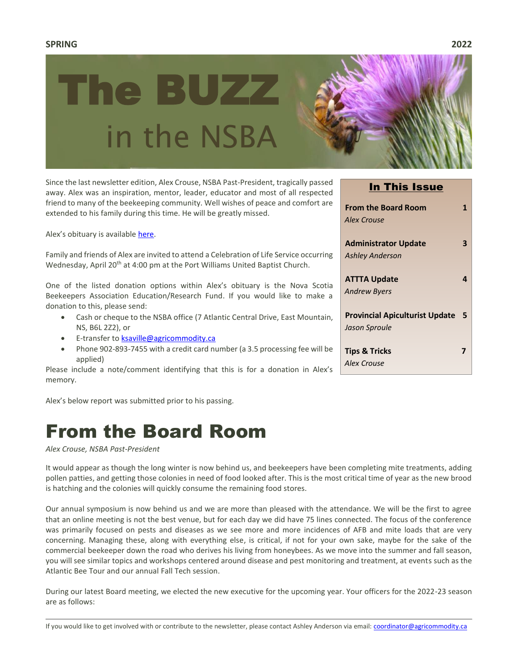### **SPRING 2022**



Since the last newsletter edition, Alex Crouse, NSBA Past-President, tragically passed away. Alex was an inspiration, mentor, leader, educator and most of all respected friend to many of the beekeeping community. Well wishes of peace and comfort are extended to his family during this time. He will be greatly missed.

Alex's obituary is available [here.](https://www.whitefamilyfuneralhome.com/obituaries/161342?fbclid=IwAR2gzVEC0nHXK-haIexAAW2TpHLyMb55tHsWxmzpRj90TQcN4Cs2BUMRGYQ)

Family and friends of Alex are invited to attend a Celebration of Life Service occurring Wednesday, April 20<sup>th</sup> at 4:00 pm at the Port Williams United Baptist Church.

One of the listed donation options within Alex's obituary is the Nova Scotia Beekeepers Association Education/Research Fund. If you would like to make a donation to this, please send:

- Cash or cheque to the NSBA office (7 Atlantic Central Drive, East Mountain, NS, B6L 2Z2), or
- E-transfer to **ksaville@agricommodity.ca**
- Phone 902-893-7455 with a credit card number (a 3.5 processing fee will be applied)

Please include a note/comment identifying that this is for a donation in Alex's memory.

Alex's below report was submitted prior to his passing.

# From the Board Room

### *Alex Crouse, NSBA Past-President*

It would appear as though the long winter is now behind us, and beekeepers have been completing mite treatments, adding pollen patties, and getting those colonies in need of food looked after. This is the most critical time of year as the new brood is hatching and the colonies will quickly consume the remaining food stores.

Our annual symposium is now behind us and we are more than pleased with the attendance. We will be the first to agree that an online meeting is not the best venue, but for each day we did have 75 lines connected. The focus of the conference was primarily focused on pests and diseases as we see more and more incidences of AFB and mite loads that are very concerning. Managing these, along with everything else, is critical, if not for your own sake, maybe for the sake of the commercial beekeeper down the road who derives his living from honeybees. As we move into the summer and fall season, you will see similar topics and workshops centered around disease and pest monitoring and treatment, at events such as the Atlantic Bee Tour and our annual Fall Tech session.

During our latest Board meeting, we elected the new executive for the upcoming year. Your officers for the 2022-23 season are as follows:

In This Issue

| <b>From the Board Room</b><br>Alex Crouse |   |
|-------------------------------------------|---|
| <b>Administrator Update</b>               |   |
| <b>Ashley Anderson</b>                    |   |
| <b>ATTTA Update</b>                       |   |
| <b>Andrew Byers</b>                       |   |
| <b>Provincial Apiculturist Update</b>     | 5 |
| Jason Sproule                             |   |
| <b>Tips &amp; Tricks</b>                  |   |
| Alex Crouse                               |   |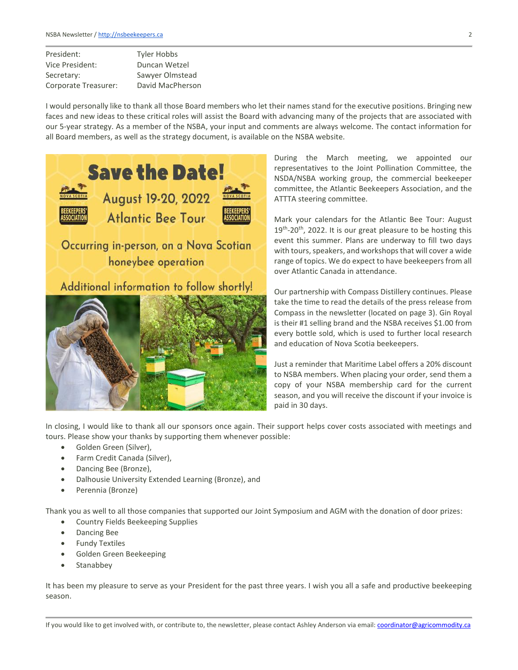| <b>Tyler Hobbs</b> |
|--------------------|
| Duncan Wetzel      |
| Sawyer Olmstead    |
| David MacPherson   |
|                    |

I would personally like to thank all those Board members who let their names stand for the executive positions. Bringing new faces and new ideas to these critical roles will assist the Board with advancing many of the projects that are associated with our 5-year strategy. As a member of the NSBA, your input and comments are always welcome. The contact information for all Board members, as well as the strategy document, is available on the NSBA website.





During the March meeting, we appointed our representatives to the Joint Pollination Committee, the NSDA/NSBA working group, the commercial beekeeper committee, the Atlantic Beekeepers Association, and the ATTTA steering committee.

Mark your calendars for the Atlantic Bee Tour: August 19<sup>th</sup>-20<sup>th</sup>, 2022. It is our great pleasure to be hosting this event this summer. Plans are underway to fill two days with tours, speakers, and workshops that will cover a wide range of topics. We do expect to have beekeepers from all over Atlantic Canada in attendance.

Our partnership with Compass Distillery continues. Please take the time to read the details of the press release from Compass in the newsletter (located on page 3). Gin Royal is their #1 selling brand and the NSBA receives \$1.00 from every bottle sold, which is used to further local research and education of Nova Scotia beekeepers.

Just a reminder that Maritime Label offers a 20% discount to NSBA members. When placing your order, send them a copy of your NSBA membership card for the current season, and you will receive the discount if your invoice is paid in 30 days.

In closing, I would like to thank all our sponsors once again. Their support helps cover costs associated with meetings and tours. Please show your thanks by supporting them whenever possible:

- Golden Green (Silver),
- Farm Credit Canada (Silver),
- Dancing Bee (Bronze),
- Dalhousie University Extended Learning (Bronze), and
- Perennia (Bronze)

Thank you as well to all those companies that supported our Joint Symposium and AGM with the donation of door prizes:

- Country Fields Beekeeping Supplies
- Dancing Bee
- Fundy Textiles
- Golden Green Beekeeping
- Stanabbey

It has been my pleasure to serve as your President for the past three years. I wish you all a safe and productive beekeeping season.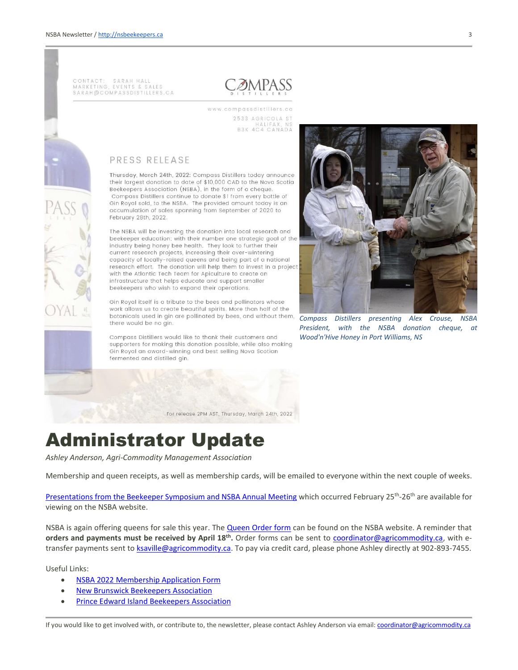CONTACT: SARAH HALL<br>MARKETING, EVENTS & SALES SARAH@COMPASSDISTILLERS.CA



www.compassdistillers.co 2533 AGRICOLA ST HALIFAX, NS<br>B3K 4C4 CANADA

### PRESS RELEASE

Thursday, March 24th, 2022: Compass Distillers today announce their largest donation to date of \$10,000 CAD to the Nova Scotia Beekeepers Association (NSBA), in the form of a cheque. Compass Distillers continue to donate \$1 from every bottle of Gin Royal sold, to the NSBA. The provided amount today is an accumulation of sales spanning from September of 2020 to February 28th, 2022.

The NSBA will be investing the donation into local research and beekeeper education; with their number one strategic goal of the industry being honey bee health. They look to further their current research projects, increasing their over-wintering capacity of locally-raised queens and being part of a national research effort. The donation will help them to invest in a project with the Atlantic Tech Team for Apiculture to create an infrastructure that helps educate and support smaller beekeepers who wish to expand their operations.

Gin Royal itself is a tribute to the bees and pollinators whose work allows us to create beautiful spirits. More than half of the botanicals used in gin are pollinated by bees, and without them, there would be no gin.

Compass Distillers would like to thank their customers and supporters for making this donation possible, while also making Gin Royal an award-winning and best selling Nova Scotian fermented and distilled gin.



*Compass Distillers presenting Alex Crouse, NSBA President, with the NSBA donation cheque, at Wood'n'Hive Honey in Port Williams, NS*

For release 2PM AST, Thursday, March 24th, 2022

# Administrator Update

*Ashley Anderson, Agri-Commodity Management Association*

Membership and queen receipts, as well as membership cards, will be emailed to everyone within the next couple of weeks.

Presentations from [the Beekeeper Symposium and NSBA Annual Meeting](https://nsbeekeepers.ca/industrynewsDetail.php?192) which occurred February 25<sup>th</sup>-26<sup>th</sup> are available for viewing on the NSBA website.

NSBA is again offering queens for sale this year. The [Queen Order form](https://nsbeekeepers.ca/cmsAdmin/uploads/2022-queen-order-form-fillable_001.pdf) can be found on the NSBA website. A reminder that **orders and payments must be received by April 18<sup>th</sup>.** Order forms can be sent to **coordinator@agricommodity.ca**, with etransfer payments sent t[o ksaville@agricommodity.ca.](mailto:ksaville@agricommodity.ca) To pay via credit card, please phone Ashley directly at 902-893-7455.

Useful Links:

- NSBA 2022 [Membership Application Form](https://nsbeekeepers.ca/forms.php)
- **[New Brunswick Beekeepers Association](https://nbba.ca/)**
- [Prince Edward Island Beekeepers Association](https://peibeekeepers.ca/)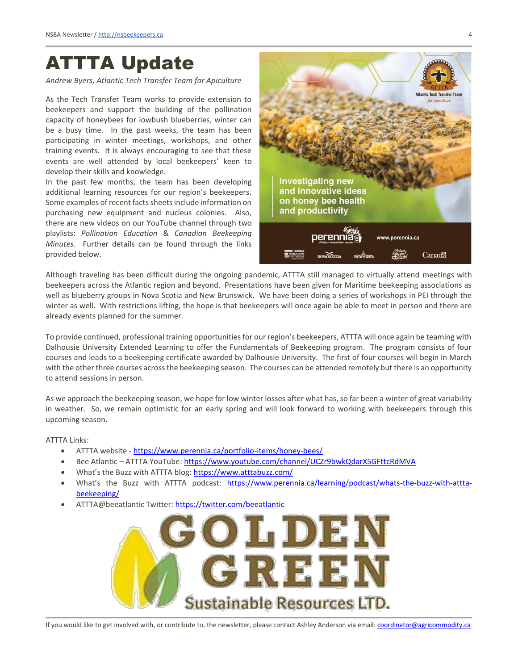## ATTTA Update

*Andrew Byers, Atlantic Tech Transfer Team for Apiculture*

As the Tech Transfer Team works to provide extension to beekeepers and support the building of the pollination capacity of honeybees for lowbush blueberries, winter can be a busy time. In the past weeks, the team has been participating in winter meetings, workshops, and other training events. It is always encouraging to see that these events are well attended by local beekeepers' keen to develop their skills and knowledge.

In the past few months, the team has been developing additional learning resources for our region's beekeepers. Some examples of recent facts sheets include information on purchasing new equipment and nucleus colonies. Also, there are new videos on our YouTube channel through two playlists: *Pollination Education* & *Canadian Beekeeping Minutes*. Further details can be found through the links provided below.



Although traveling has been difficult during the ongoing pandemic, ATTTA still managed to virtually attend meetings with beekeepers across the Atlantic region and beyond. Presentations have been given for Maritime beekeeping associations as well as blueberry groups in Nova Scotia and New Brunswick. We have been doing a series of workshops in PEI through the winter as well. With restrictions lifting, the hope is that beekeepers will once again be able to meet in person and there are already events planned for the summer.

To provide continued, professional training opportunities for our region's beekeepers, ATTTA will once again be teaming with Dalhousie University Extended Learning to offer the Fundamentals of Beekeeping program. The program consists of four courses and leads to a beekeeping certificate awarded by Dalhousie University. The first of four courses will begin in March with the other three courses across the beekeeping season. The courses can be attended remotely but there is an opportunity to attend sessions in person.

As we approach the beekeeping season, we hope for low winter losses after what has, so far been a winter of great variability in weather. So, we remain optimistic for an early spring and will look forward to working with beekeepers through this upcoming season.

ATTTA Links:

- ATTTA website <https://www.perennia.ca/portfolio-items/honey-bees/>
- Bee Atlantic ATTTA YouTube[: https://www.youtube.com/channel/UCZr9bwkQdarX5GFttcRdMVA](https://www.youtube.com/channel/UCZr9bwkQdarX5GFttcRdMVA)
- What's the Buzz with ATTTA blog: <https://www.atttabuzz.com/>
- What's the Buzz with ATTTA podcast: [https://www.perennia.ca/learning/podcast/whats-the-buzz-with-attta](https://www.perennia.ca/learning/podcast/whats-the-buzz-with-attta-beekeeping/)[beekeeping/](https://www.perennia.ca/learning/podcast/whats-the-buzz-with-attta-beekeeping/)
- ATTTA@beeatlantic Twitter:<https://twitter.com/beeatlantic>

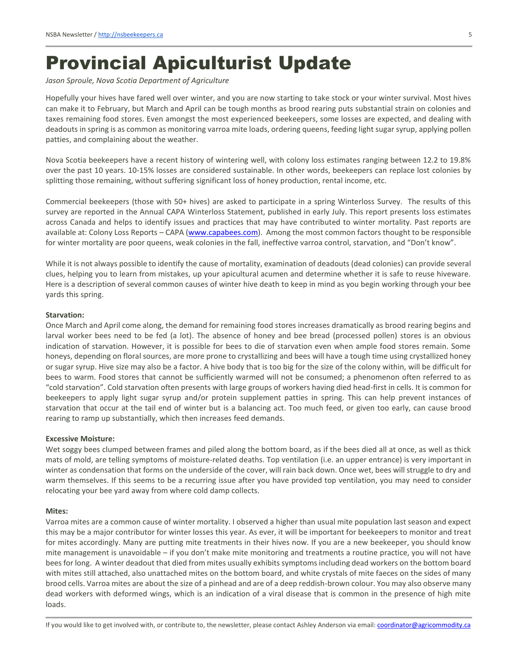### Provincial Apiculturist Update

*Jason Sproule, Nova Scotia Department of Agriculture*

Hopefully your hives have fared well over winter, and you are now starting to take stock or your winter survival. Most hives can make it to February, but March and April can be tough months as brood rearing puts substantial strain on colonies and taxes remaining food stores. Even amongst the most experienced beekeepers, some losses are expected, and dealing with deadouts in spring is as common as monitoring varroa mite loads, ordering queens, feeding light sugar syrup, applying pollen patties, and complaining about the weather.

Nova Scotia beekeepers have a recent history of wintering well, with colony loss estimates ranging between 12.2 to 19.8% over the past 10 years. 10-15% losses are considered sustainable. In other words, beekeepers can replace lost colonies by splitting those remaining, without suffering significant loss of honey production, rental income, etc.

Commercial beekeepers (those with 50+ hives) are asked to participate in a spring Winterloss Survey. The results of this survey are reported in the Annual CAPA Winterloss Statement, published in early July. This report presents loss estimates across Canada and helps to identify issues and practices that may have contributed to winter mortality. Past reports are available at: Colony Loss Reports - CAPA [\(www.capabees.com\)](http://www.capabees.com/). Among the most common factors thought to be responsible for winter mortality are poor queens, weak colonies in the fall, ineffective varroa control, starvation, and "Don't know".

While it is not always possible to identify the cause of mortality, examination of deadouts (dead colonies) can provide several clues, helping you to learn from mistakes, up your apicultural acumen and determine whether it is safe to reuse hiveware. Here is a description of several common causes of winter hive death to keep in mind as you begin working through your bee yards this spring.

#### **Starvation:**

Once March and April come along, the demand for remaining food stores increases dramatically as brood rearing begins and larval worker bees need to be fed (a lot). The absence of honey and bee bread (processed pollen) stores is an obvious indication of starvation. However, it is possible for bees to die of starvation even when ample food stores remain. Some honeys, depending on floral sources, are more prone to crystallizing and bees will have a tough time using crystallized honey or sugar syrup. Hive size may also be a factor. A hive body that is too big for the size of the colony within, will be difficult for bees to warm. Food stores that cannot be sufficiently warmed will not be consumed; a phenomenon often referred to as "cold starvation". Cold starvation often presents with large groups of workers having died head-first in cells. It is common for beekeepers to apply light sugar syrup and/or protein supplement patties in spring. This can help prevent instances of starvation that occur at the tail end of winter but is a balancing act. Too much feed, or given too early, can cause brood rearing to ramp up substantially, which then increases feed demands.

#### **Excessive Moisture:**

Wet soggy bees clumped between frames and piled along the bottom board, as if the bees died all at once, as well as thick mats of mold, are telling symptoms of moisture-related deaths. Top ventilation (i.e. an upper entrance) is very important in winter as condensation that forms on the underside of the cover, will rain back down. Once wet, bees will struggle to dry and warm themselves. If this seems to be a recurring issue after you have provided top ventilation, you may need to consider relocating your bee yard away from where cold damp collects.

#### **Mites:**

Varroa mites are a common cause of winter mortality. I observed a higher than usual mite population last season and expect this may be a major contributor for winter losses this year. As ever, it will be important for beekeepers to monitor and treat for mites accordingly. Many are putting mite treatments in their hives now. If you are a new beekeeper, you should know mite management is unavoidable – if you don't make mite monitoring and treatments a routine practice, you will not have bees for long. A winter deadout that died from mites usually exhibits symptoms including dead workers on the bottom board with mites still attached, also unattached mites on the bottom board, and white crystals of mite faeces on the sides of many brood cells. Varroa mites are about the size of a pinhead and are of a deep reddish-brown colour. You may also observe many dead workers with deformed wings, which is an indication of a viral disease that is common in the presence of high mite loads.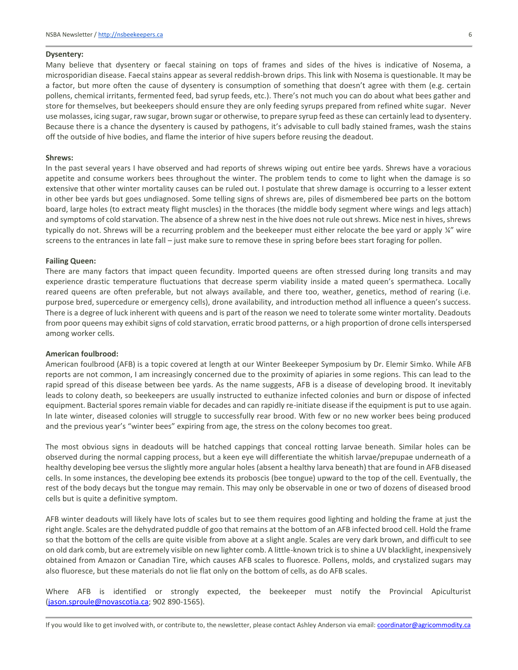#### **Dysentery:**

Many believe that dysentery or faecal staining on tops of frames and sides of the hives is indicative of Nosema, a microsporidian disease. Faecal stains appear as several reddish-brown drips. This link with Nosema is questionable. It may be a factor, but more often the cause of dysentery is consumption of something that doesn't agree with them (e.g. certain pollens, chemical irritants, fermented feed, bad syrup feeds, etc.). There's not much you can do about what bees gather and store for themselves, but beekeepers should ensure they are only feeding syrups prepared from refined white sugar. Never use molasses, icing sugar, raw sugar, brown sugar or otherwise, to prepare syrup feed as these can certainly lead to dysentery. Because there is a chance the dysentery is caused by pathogens, it's advisable to cull badly stained frames, wash the stains off the outside of hive bodies, and flame the interior of hive supers before reusing the deadout.

#### **Shrews:**

In the past several years I have observed and had reports of shrews wiping out entire bee yards. Shrews have a voracious appetite and consume workers bees throughout the winter. The problem tends to come to light when the damage is so extensive that other winter mortality causes can be ruled out. I postulate that shrew damage is occurring to a lesser extent in other bee yards but goes undiagnosed. Some telling signs of shrews are, piles of dismembered bee parts on the bottom board, large holes (to extract meaty flight muscles) in the thoraces (the middle body segment where wings and legs attach) and symptoms of cold starvation. The absence of a shrew nest in the hive does not rule out shrews. Mice nest in hives, shrews typically do not. Shrews will be a recurring problem and the beekeeper must either relocate the bee yard or apply ¼" wire screens to the entrances in late fall – just make sure to remove these in spring before bees start foraging for pollen.

#### **Failing Queen:**

There are many factors that impact queen fecundity. Imported queens are often stressed during long transits and may experience drastic temperature fluctuations that decrease sperm viability inside a mated queen's spermatheca. Locally reared queens are often preferable, but not always available, and there too, weather, genetics, method of rearing (i.e. purpose bred, supercedure or emergency cells), drone availability, and introduction method all influence a queen's success. There is a degree of luck inherent with queens and is part of the reason we need to tolerate some winter mortality. Deadouts from poor queens may exhibit signs of cold starvation, erratic brood patterns, or a high proportion of drone cells interspersed among worker cells.

#### **American foulbrood:**

American foulbrood (AFB) is a topic covered at length at our Winter Beekeeper Symposium by Dr. Elemir Simko. While AFB reports are not common, I am increasingly concerned due to the proximity of apiaries in some regions. This can lead to the rapid spread of this disease between bee yards. As the name suggests, AFB is a disease of developing brood. It inevitably leads to colony death, so beekeepers are usually instructed to euthanize infected colonies and burn or dispose of infected equipment. Bacterial spores remain viable for decades and can rapidly re-initiate disease if the equipment is put to use again. In late winter, diseased colonies will struggle to successfully rear brood. With few or no new worker bees being produced and the previous year's "winter bees" expiring from age, the stress on the colony becomes too great.

The most obvious signs in deadouts will be hatched cappings that conceal rotting larvae beneath. Similar holes can be observed during the normal capping process, but a keen eye will differentiate the whitish larvae/prepupae underneath of a healthy developing bee versus the slightly more angular holes (absent a healthy larva beneath) that are found in AFB diseased cells. In some instances, the developing bee extends its proboscis (bee tongue) upward to the top of the cell. Eventually, the rest of the body decays but the tongue may remain. This may only be observable in one or two of dozens of diseased brood cells but is quite a definitive symptom.

AFB winter deadouts will likely have lots of scales but to see them requires good lighting and holding the frame at just the right angle. Scales are the dehydrated puddle of goo that remains at the bottom of an AFB infected brood cell. Hold the frame so that the bottom of the cells are quite visible from above at a slight angle. Scales are very dark brown, and difficult to see on old dark comb, but are extremely visible on new lighter comb. A little-known trick is to shine a UV blacklight, inexpensively obtained from Amazon or Canadian Tire, which causes AFB scales to fluoresce. Pollens, molds, and crystalized sugars may also fluoresce, but these materials do not lie flat only on the bottom of cells, as do AFB scales.

Where AFB is identified or strongly expected, the beekeeper must notify the Provincial Apiculturist [\(jason.sproule@novascotia.ca;](mailto:jason.sproule@novascotia.ca) 902 890-1565).